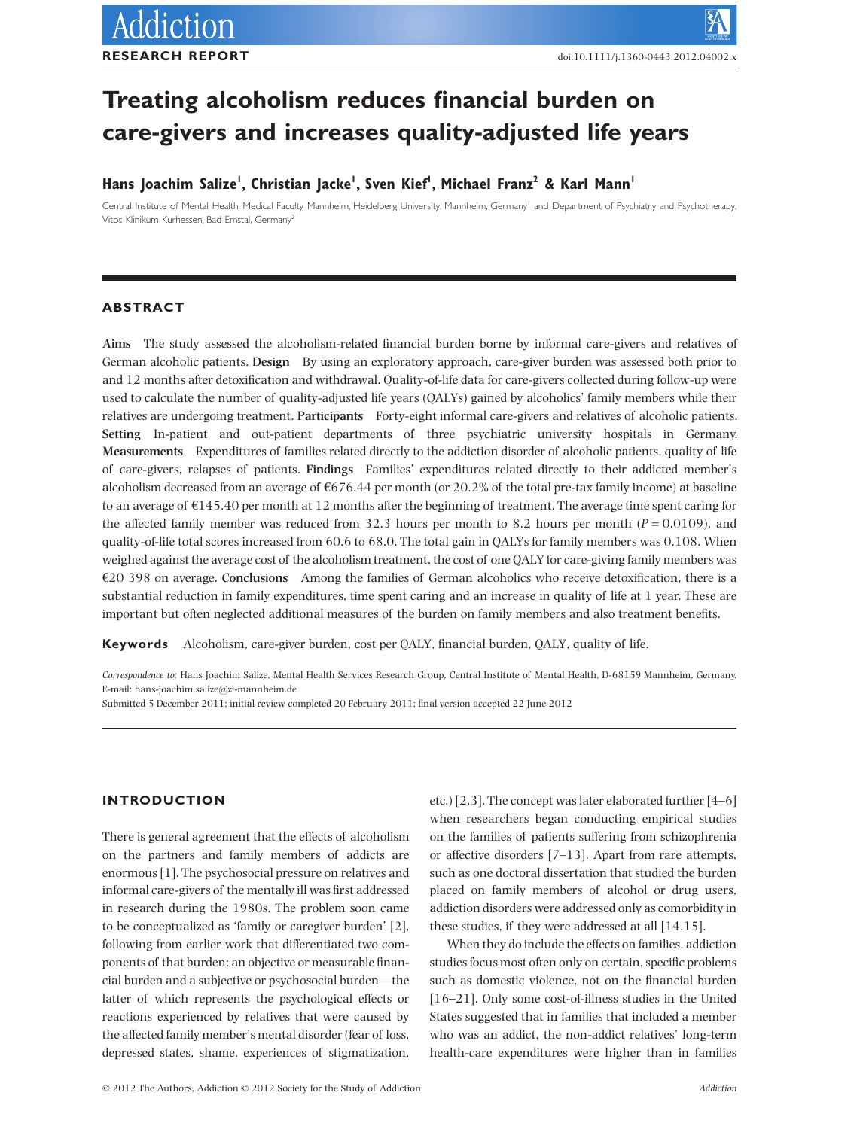# **Treating alcoholism reduces financial burden on care-givers and increases quality-adjusted life years**

# **Hans Joachim Salize', Christian Jacke', Sven Kief', Michael Franz<sup>2</sup> & Karl Mann'**

Central Institute of Mental Health, Medical Faculty Mannheim, Heidelberg University, Mannheim, Germany<sup>1</sup> and Department of Psychiatry and Psychotherapy Vitos Klinikum Kurhessen, Bad Emstal, Germany2

# **ABSTRACT**

**Aims** The study assessed the alcoholism-related financial burden borne by informal care-givers and relatives of German alcoholic patients. **Design** By using an exploratory approach, care-giver burden was assessed both prior to and 12 months after detoxification and withdrawal. Quality-of-life data for care-givers collected during follow-up were used to calculate the number of quality-adjusted life years (QALYs) gained by alcoholics' family members while their relatives are undergoing treatment. **Participants** Forty-eight informal care-givers and relatives of alcoholic patients. **Setting** In-patient and out-patient departments of three psychiatric university hospitals in Germany. **Measurements** Expenditures of families related directly to the addiction disorder of alcoholic patients, quality of life of care-givers, relapses of patients. **Findings** Families' expenditures related directly to their addicted member's alcoholism decreased from an average of  $6676.44$  per month (or 20.2% of the total pre-tax family income) at baseline to an average of €145.40 per month at 12 months after the beginning of treatment. The average time spent caring for the affected family member was reduced from 32.3 hours per month to 8.2 hours per month ( $P = 0.0109$ ), and quality-of-life total scores increased from 60.6 to 68.0. The total gain in QALYs for family members was 0.108. When weighed against the average cost of the alcoholism treatment, the cost of one QALY for care-giving family members was €20 398 on average. **Conclusions** Among the families of German alcoholics who receive detoxification, there is a substantial reduction in family expenditures, time spent caring and an increase in quality of life at 1 year. These are important but often neglected additional measures of the burden on family members and also treatment benefits.

**Keywords** Alcoholism, care-giver burden, cost per QALY, financial burden, QALY, quality of life.

*Correspondence to:* Hans Joachim Salize, Mental Health Services Research Group, Central Institute of Mental Health, D-68159 Mannheim, Germany. E-mail: hans-joachim.salize@zi-mannheim.de

Submitted 5 December 2011; initial review completed 20 February 2011; final version accepted 22 June 2012

# **INTRODUCTION**

There is general agreement that the effects of alcoholism on the partners and family members of addicts are enormous [1]. The psychosocial pressure on relatives and informal care-givers of the mentally ill was first addressed in research during the 1980s. The problem soon came to be conceptualized as 'family or caregiver burden' [2], following from earlier work that differentiated two components of that burden: an objective or measurable financial burden and a subjective or psychosocial burden—the latter of which represents the psychological effects or reactions experienced by relatives that were caused by the affected family member's mental disorder (fear of loss, depressed states, shame, experiences of stigmatization, etc.) [2,3]. The concept was later elaborated further [4–6] when researchers began conducting empirical studies on the families of patients suffering from schizophrenia or affective disorders [7–13]. Apart from rare attempts, such as one doctoral dissertation that studied the burden placed on family members of alcohol or drug users, addiction disorders were addressed only as comorbidity in these studies, if they were addressed at all [14,15].

When they do include the effects on families, addiction studies focus most often only on certain, specific problems such as domestic violence, not on the financial burden [16–21]. Only some cost-of-illness studies in the United States suggested that in families that included a member who was an addict, the non-addict relatives' long-term health-care expenditures were higher than in families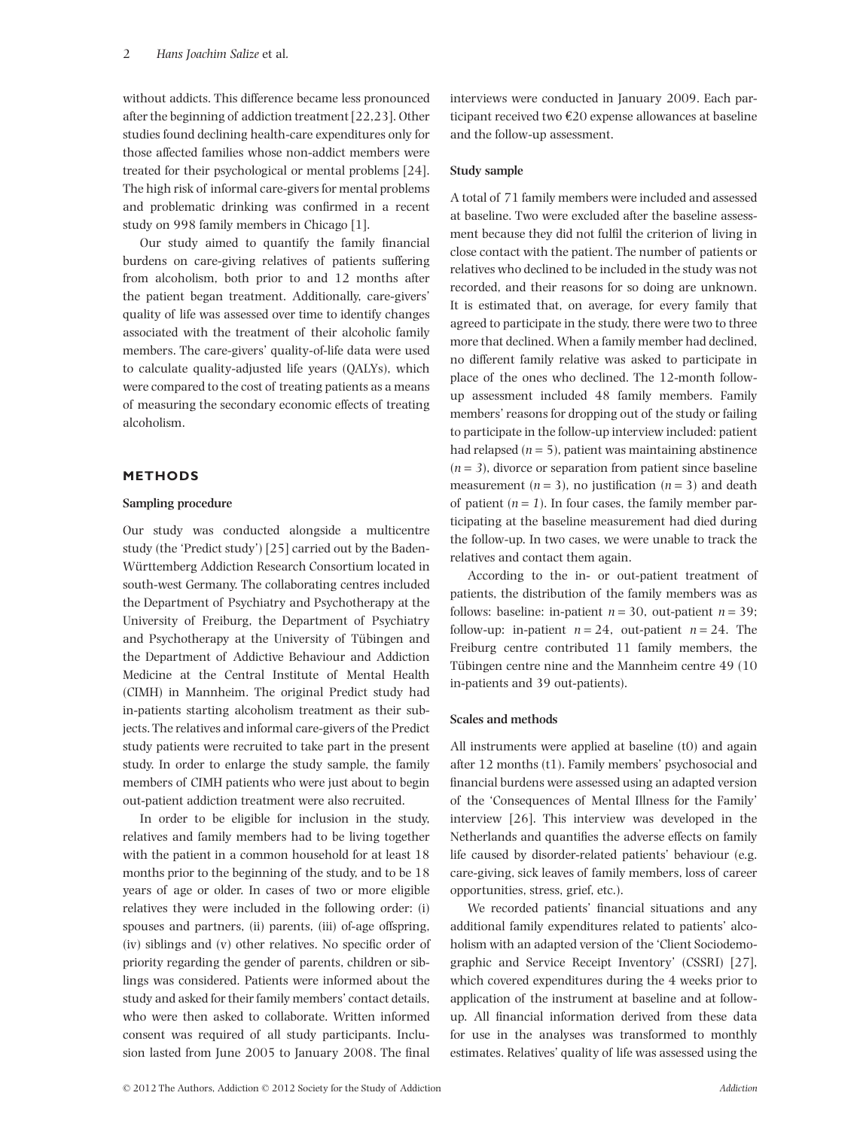without addicts. This difference became less pronounced after the beginning of addiction treatment [22,23]. Other studies found declining health-care expenditures only for those affected families whose non-addict members were treated for their psychological or mental problems [24]. The high risk of informal care-givers for mental problems and problematic drinking was confirmed in a recent study on 998 family members in Chicago [1].

Our study aimed to quantify the family financial burdens on care-giving relatives of patients suffering from alcoholism, both prior to and 12 months after the patient began treatment. Additionally, care-givers' quality of life was assessed over time to identify changes associated with the treatment of their alcoholic family members. The care-givers' quality-of-life data were used to calculate quality-adjusted life years (QALYs), which were compared to the cost of treating patients as a means of measuring the secondary economic effects of treating alcoholism.

# **METHODS**

#### **Sampling procedure**

Our study was conducted alongside a multicentre study (the 'Predict study') [25] carried out by the Baden-Württemberg Addiction Research Consortium located in south-west Germany. The collaborating centres included the Department of Psychiatry and Psychotherapy at the University of Freiburg, the Department of Psychiatry and Psychotherapy at the University of Tübingen and the Department of Addictive Behaviour and Addiction Medicine at the Central Institute of Mental Health (CIMH) in Mannheim. The original Predict study had in-patients starting alcoholism treatment as their subjects. The relatives and informal care-givers of the Predict study patients were recruited to take part in the present study. In order to enlarge the study sample, the family members of CIMH patients who were just about to begin out-patient addiction treatment were also recruited.

In order to be eligible for inclusion in the study, relatives and family members had to be living together with the patient in a common household for at least 18 months prior to the beginning of the study, and to be 18 years of age or older. In cases of two or more eligible relatives they were included in the following order: (i) spouses and partners, (ii) parents, (iii) of-age offspring, (iv) siblings and (v) other relatives. No specific order of priority regarding the gender of parents, children or siblings was considered. Patients were informed about the study and asked for their family members' contact details, who were then asked to collaborate. Written informed consent was required of all study participants. Inclusion lasted from June 2005 to January 2008. The final interviews were conducted in January 2009. Each participant received two €20 expense allowances at baseline and the follow-up assessment.

## **Study sample**

A total of 71 family members were included and assessed at baseline. Two were excluded after the baseline assessment because they did not fulfil the criterion of living in close contact with the patient. The number of patients or relatives who declined to be included in the study was not recorded, and their reasons for so doing are unknown. It is estimated that, on average, for every family that agreed to participate in the study, there were two to three more that declined. When a family member had declined, no different family relative was asked to participate in place of the ones who declined. The 12-month followup assessment included 48 family members. Family members' reasons for dropping out of the study or failing to participate in the follow-up interview included: patient had relapsed  $(n = 5)$ , patient was maintaining abstinence  $(n = 3)$ , divorce or separation from patient since baseline measurement  $(n = 3)$ , no justification  $(n = 3)$  and death of patient  $(n = 1)$ . In four cases, the family member participating at the baseline measurement had died during the follow-up. In two cases, we were unable to track the relatives and contact them again.

According to the in- or out-patient treatment of patients, the distribution of the family members was as follows: baseline: in-patient  $n = 30$ , out-patient  $n = 39$ ; follow-up: in-patient  $n = 24$ , out-patient  $n = 24$ . The Freiburg centre contributed 11 family members, the Tübingen centre nine and the Mannheim centre 49 (10 in-patients and 39 out-patients).

#### **Scales and methods**

All instruments were applied at baseline (t0) and again after 12 months (t1). Family members' psychosocial and financial burdens were assessed using an adapted version of the 'Consequences of Mental Illness for the Family' interview [26]. This interview was developed in the Netherlands and quantifies the adverse effects on family life caused by disorder-related patients' behaviour (e.g. care-giving, sick leaves of family members, loss of career opportunities, stress, grief, etc.).

We recorded patients' financial situations and any additional family expenditures related to patients' alcoholism with an adapted version of the 'Client Sociodemographic and Service Receipt Inventory' (CSSRI) [27], which covered expenditures during the 4 weeks prior to application of the instrument at baseline and at followup. All financial information derived from these data for use in the analyses was transformed to monthly estimates. Relatives' quality of life was assessed using the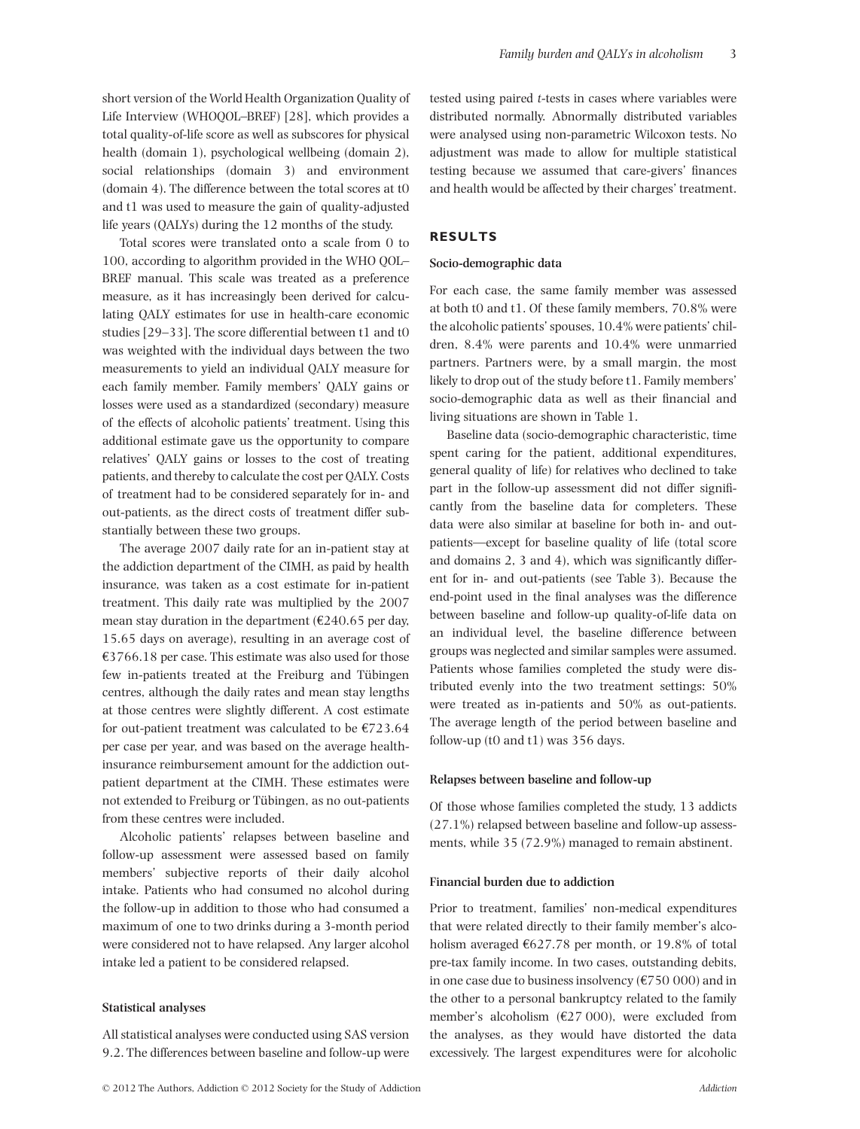short version of the World Health Organization Quality of Life Interview (WHOQOL–BREF) [28], which provides a total quality-of-life score as well as subscores for physical health (domain 1), psychological wellbeing (domain 2), social relationships (domain 3) and environment (domain 4). The difference between the total scores at t0 and t1 was used to measure the gain of quality-adjusted life years (QALYs) during the 12 months of the study.

Total scores were translated onto a scale from 0 to 100, according to algorithm provided in the WHO QOL– BREF manual. This scale was treated as a preference measure, as it has increasingly been derived for calculating QALY estimates for use in health-care economic studies [29–33]. The score differential between t1 and t0 was weighted with the individual days between the two measurements to yield an individual QALY measure for each family member. Family members' QALY gains or losses were used as a standardized (secondary) measure of the effects of alcoholic patients' treatment. Using this additional estimate gave us the opportunity to compare relatives' QALY gains or losses to the cost of treating patients, and thereby to calculate the cost per QALY. Costs of treatment had to be considered separately for in- and out-patients, as the direct costs of treatment differ substantially between these two groups.

The average 2007 daily rate for an in-patient stay at the addiction department of the CIMH, as paid by health insurance, was taken as a cost estimate for in-patient treatment. This daily rate was multiplied by the 2007 mean stay duration in the department ( $\epsilon$ 240.65 per day, 15.65 days on average), resulting in an average cost of €3766.18 per case. This estimate was also used for those few in-patients treated at the Freiburg and Tübingen centres, although the daily rates and mean stay lengths at those centres were slightly different. A cost estimate for out-patient treatment was calculated to be  $E$ 723.64 per case per year, and was based on the average healthinsurance reimbursement amount for the addiction outpatient department at the CIMH. These estimates were not extended to Freiburg or Tübingen, as no out-patients from these centres were included.

Alcoholic patients' relapses between baseline and follow-up assessment were assessed based on family members' subjective reports of their daily alcohol intake. Patients who had consumed no alcohol during the follow-up in addition to those who had consumed a maximum of one to two drinks during a 3-month period were considered not to have relapsed. Any larger alcohol intake led a patient to be considered relapsed.

#### **Statistical analyses**

All statistical analyses were conducted using SAS version 9.2. The differences between baseline and follow-up were tested using paired *t*-tests in cases where variables were distributed normally. Abnormally distributed variables were analysed using non-parametric Wilcoxon tests. No adjustment was made to allow for multiple statistical testing because we assumed that care-givers' finances and health would be affected by their charges' treatment.

#### **RESULTS**

#### **Socio-demographic data**

For each case, the same family member was assessed at both t0 and t1. Of these family members, 70.8% were the alcoholic patients' spouses, 10.4% were patients' children, 8.4% were parents and 10.4% were unmarried partners. Partners were, by a small margin, the most likely to drop out of the study before t1. Family members' socio-demographic data as well as their financial and living situations are shown in Table 1.

Baseline data (socio-demographic characteristic, time spent caring for the patient, additional expenditures, general quality of life) for relatives who declined to take part in the follow-up assessment did not differ significantly from the baseline data for completers. These data were also similar at baseline for both in- and outpatients—except for baseline quality of life (total score and domains 2, 3 and 4), which was significantly different for in- and out-patients (see Table 3). Because the end-point used in the final analyses was the difference between baseline and follow-up quality-of-life data on an individual level, the baseline difference between groups was neglected and similar samples were assumed. Patients whose families completed the study were distributed evenly into the two treatment settings: 50% were treated as in-patients and 50% as out-patients. The average length of the period between baseline and follow-up (t0 and t1) was 356 days.

#### **Relapses between baseline and follow-up**

Of those whose families completed the study, 13 addicts (27.1%) relapsed between baseline and follow-up assessments, while 35 (72.9%) managed to remain abstinent.

## **Financial burden due to addiction**

Prior to treatment, families' non-medical expenditures that were related directly to their family member's alcoholism averaged  $\text{\textsterling}627.78$  per month, or 19.8% of total pre-tax family income. In two cases, outstanding debits, in one case due to business insolvency ( $\epsilon$ 750 000) and in the other to a personal bankruptcy related to the family member's alcoholism  $(E27 000)$ , were excluded from the analyses, as they would have distorted the data excessively. The largest expenditures were for alcoholic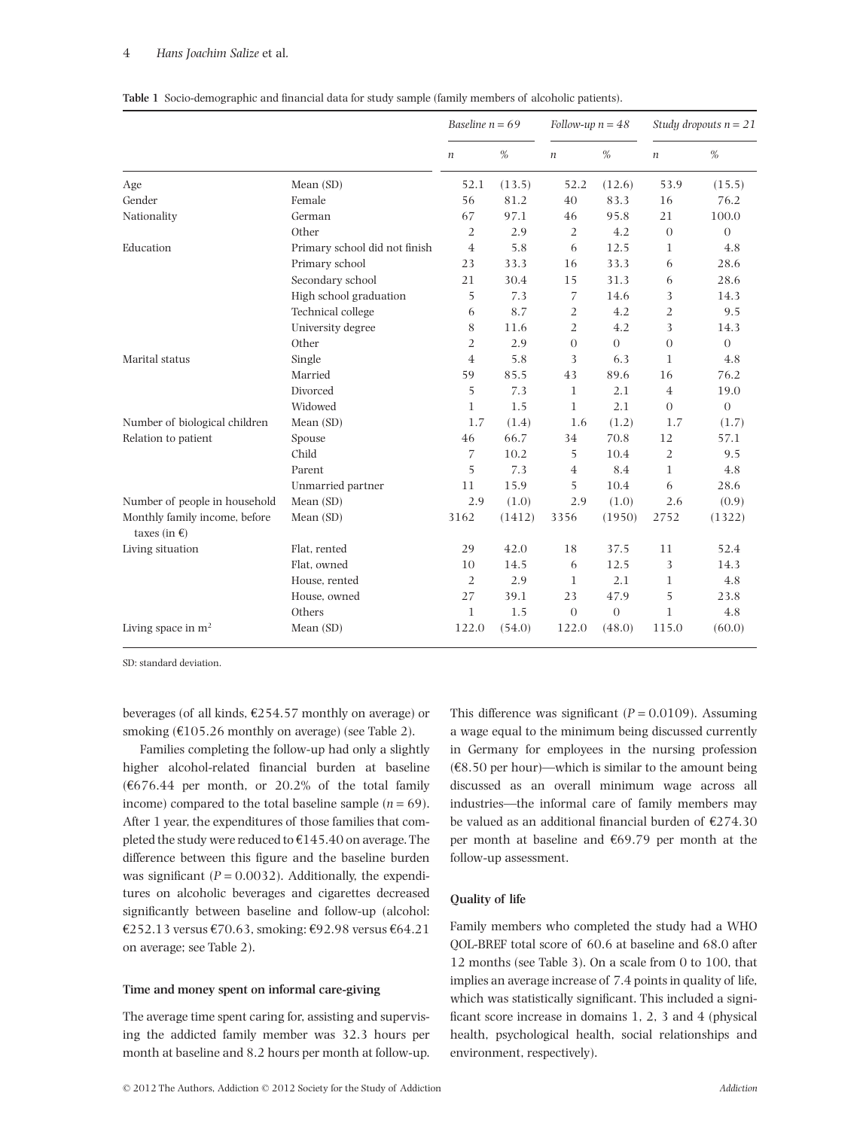## 4 *Hans Joachim Salize* et al*.*

|                                                         |                               | Baseline $n = 69$ |        | Follow-up $n = 48$ |                | Study dropouts $n = 21$ |                |
|---------------------------------------------------------|-------------------------------|-------------------|--------|--------------------|----------------|-------------------------|----------------|
|                                                         |                               | $\boldsymbol{n}$  | $\%$   | $\boldsymbol{n}$   | $\%$           | $\boldsymbol{n}$        | $\%$           |
| Age                                                     | Mean (SD)                     | 52.1              | (13.5) | 52.2               | (12.6)         | 53.9                    | (15.5)         |
| Gender                                                  | Female                        | 56                | 81.2   | 40                 | 83.3           | 16                      | 76.2           |
| Nationality                                             | German                        | 67                | 97.1   | 46                 | 95.8           | 21                      | 100.0          |
|                                                         | Other                         | $\overline{2}$    | 2.9    | $\overline{2}$     | 4.2            | $\overline{0}$          | $\overline{0}$ |
| Education                                               | Primary school did not finish | $\overline{4}$    | 5.8    | 6                  | 12.5           | 1                       | 4.8            |
|                                                         | Primary school                | 23                | 33.3   | 16                 | 33.3           | 6                       | 28.6           |
|                                                         | Secondary school              | 21                | 30.4   | 15                 | 31.3           | 6                       | 28.6           |
|                                                         | High school graduation        | 5                 | 7.3    | 7                  | 14.6           | 3                       | 14.3           |
|                                                         | Technical college             | 6                 | 8.7    | $\overline{2}$     | 4.2            | $\overline{2}$          | 9.5            |
|                                                         | University degree             | 8                 | 11.6   | $\overline{2}$     | 4.2            | 3                       | 14.3           |
|                                                         | Other                         | $\overline{2}$    | 2.9    | $\Omega$           | $\Omega$       | $\overline{0}$          | $\Omega$       |
| Marital status                                          | Single                        | $\overline{4}$    | 5.8    | 3                  | 6.3            | 1                       | 4.8            |
|                                                         | Married                       | 59                | 85.5   | 43                 | 89.6           | 16                      | 76.2           |
|                                                         | Divorced                      | 5                 | 7.3    | $\mathbf{1}$       | 2.1            | $\overline{4}$          | 19.0           |
|                                                         | Widowed                       | $\mathbf{1}$      | 1.5    | $\mathbf{1}$       | 2.1            | $\overline{0}$          | $\theta$       |
| Number of biological children                           | Mean (SD)                     | 1.7               | (1.4)  | 1.6                | (1.2)          | 1.7                     | (1.7)          |
| Relation to patient                                     | Spouse                        | 46                | 66.7   | 34                 | 70.8           | 12                      | 57.1           |
|                                                         | Child                         | 7                 | 10.2   | 5                  | 10.4           | $\overline{2}$          | 9.5            |
|                                                         | Parent                        | 5                 | 7.3    | $\overline{4}$     | 8.4            | 1                       | 4.8            |
|                                                         | Unmarried partner             | 11                | 15.9   | 5                  | 10.4           | 6                       | 28.6           |
| Number of people in household                           | Mean (SD)                     | 2.9               | (1.0)  | 2.9                | (1.0)          | 2.6                     | (0.9)          |
| Monthly family income, before<br>taxes (in $\epsilon$ ) | Mean (SD)                     | 3162              | (1412) | 3356               | (1950)         | 2752                    | (1322)         |
| Living situation                                        | Flat, rented                  | 29                | 42.0   | 18                 | 37.5           | 11                      | 52.4           |
|                                                         | Flat, owned                   | 10                | 14.5   | 6                  | 12.5           | 3                       | 14.3           |
|                                                         | House, rented                 | $\overline{2}$    | 2.9    | $\mathbf{1}$       | 2.1            | 1                       | 4.8            |
|                                                         | House, owned                  | 27                | 39.1   | 23                 | 47.9           | 5                       | 23.8           |
|                                                         | Others                        | $\mathbf{1}$      | 1.5    | $\theta$           | $\overline{0}$ | $\mathbf{1}$            | 4.8            |
| Living space in $m2$                                    | Mean (SD)                     | 122.0             | (54.0) | 122.0              | (48.0)         | 115.0                   | (60.0)         |

**Table 1** Socio-demographic and financial data for study sample (family members of alcoholic patients).

SD: standard deviation.

beverages (of all kinds, €254.57 monthly on average) or smoking ( $\text{\textsterling}105.26$  monthly on average) (see Table 2).

Families completing the follow-up had only a slightly higher alcohol-related financial burden at baseline  $(6676.44$  per month, or 20.2% of the total family income) compared to the total baseline sample  $(n = 69)$ . After 1 year, the expenditures of those families that completed the study were reduced to €145.40 on average. The difference between this figure and the baseline burden was significant  $(P = 0.0032)$ . Additionally, the expenditures on alcoholic beverages and cigarettes decreased significantly between baseline and follow-up (alcohol: €252.13 versus €70.63, smoking: €92.98 versus €64.21 on average; see Table 2).

# **Time and money spent on informal care-giving**

The average time spent caring for, assisting and supervising the addicted family member was 32.3 hours per month at baseline and 8.2 hours per month at follow-up.

© 2012 The Authors, Addiction © 2012 Society for the Study of Addiction *Addiction*

This difference was significant  $(P = 0.0109)$ . Assuming a wage equal to the minimum being discussed currently in Germany for employees in the nursing profession  $(68.50 \text{ per hour})$ —which is similar to the amount being discussed as an overall minimum wage across all industries—the informal care of family members may be valued as an additional financial burden of €274.30 per month at baseline and €69.79 per month at the follow-up assessment.

# **Quality of life**

Family members who completed the study had a WHO QOL-BREF total score of 60.6 at baseline and 68.0 after 12 months (see Table 3). On a scale from 0 to 100, that implies an average increase of 7.4 points in quality of life, which was statistically significant. This included a significant score increase in domains 1, 2, 3 and 4 (physical health, psychological health, social relationships and environment, respectively).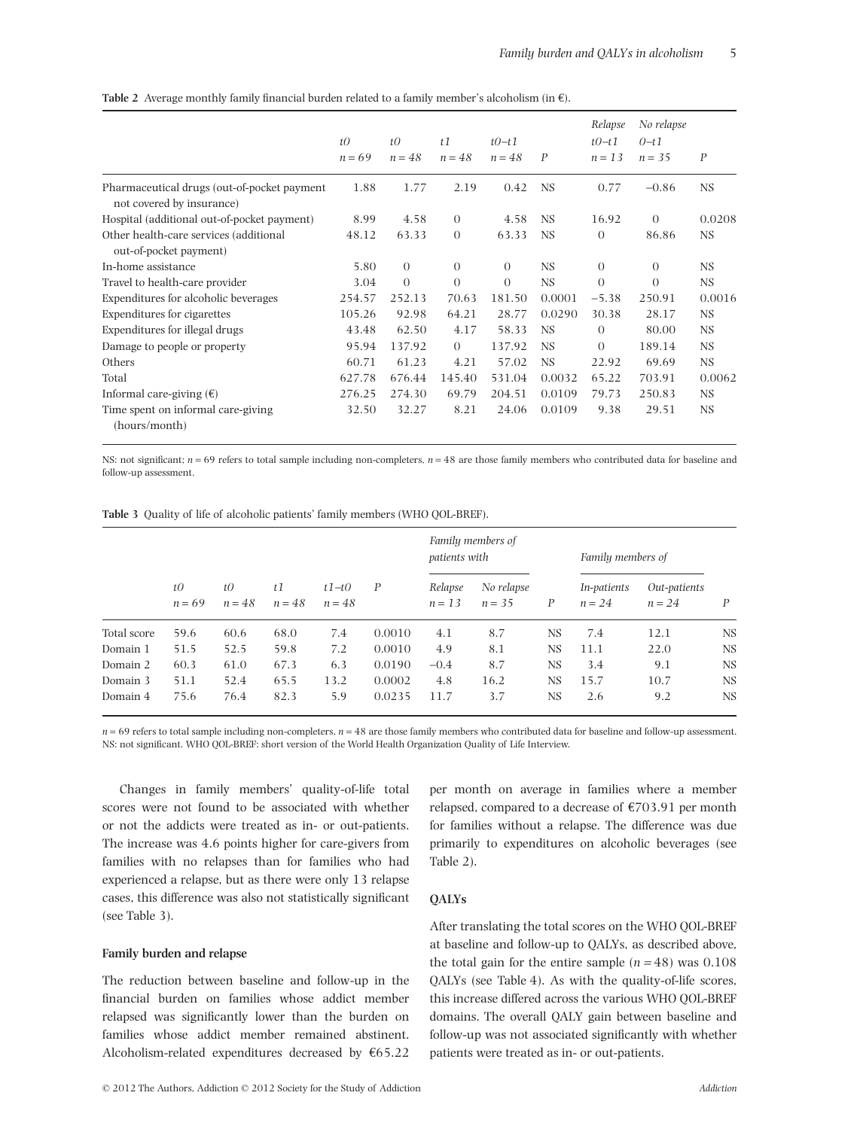|                                                                          | tQ<br>$n = 69$ | tQ<br>$n = 48$ | t1<br>$n = 48$ | $t0-t1$<br>$n = 48$ | $\boldsymbol{P}$ | Relapse<br>$t0-t1$<br>$n = 13$ | No relapse<br>$0 - t1$<br>$n = 35$ | P         |
|--------------------------------------------------------------------------|----------------|----------------|----------------|---------------------|------------------|--------------------------------|------------------------------------|-----------|
| Pharmaceutical drugs (out-of-pocket payment<br>not covered by insurance) | 1.88           | 1.77           | 2.19           | 0.42                | <b>NS</b>        | 0.77                           | $-0.86$                            | NS.       |
| Hospital (additional out-of-pocket payment)                              | 8.99           | 4.58           | $\Omega$       | 4.58                | <b>NS</b>        | 16.92                          | $\Omega$                           | 0.0208    |
| Other health-care services (additional<br>out-of-pocket payment)         | 48.12          | 63.33          | $\Omega$       | 63.33               | <b>NS</b>        | $\Omega$                       | 86.86                              | <b>NS</b> |
| In-home assistance                                                       | 5.80           | $\theta$       | $\theta$       | $\Omega$            | <b>NS</b>        | $\Omega$                       | $\theta$                           | NS.       |
| Travel to health-care provider                                           | 3.04           | $\Omega$       | $\Omega$       | $\Omega$            | <b>NS</b>        | $\Omega$                       | $\Omega$                           | NS.       |
| Expenditures for alcoholic beverages                                     | 254.57         | 252.13         | 70.63          | 181.50              | 0.0001           | $-5.38$                        | 250.91                             | 0.0016    |
| Expenditures for cigarettes                                              | 105.26         | 92.98          | 64.21          | 28.77               | 0.0290           | 30.38                          | 28.17                              | <b>NS</b> |
| Expenditures for illegal drugs                                           | 43.48          | 62.50          | 4.17           | 58.33               | <b>NS</b>        | $\Omega$                       | 80.00                              | NS.       |
| Damage to people or property                                             | 95.94          | 137.92         | $\Omega$       | 137.92              | <b>NS</b>        | $\Omega$                       | 189.14                             | NS.       |
| Others                                                                   | 60.71          | 61.23          | 4.21           | 57.02               | <b>NS</b>        | 22.92                          | 69.69                              | NS.       |
| Total                                                                    | 627.78         | 676.44         | 145.40         | 531.04              | 0.0032           | 65.22                          | 703.91                             | 0.0062    |
| Informal care-giving $(\epsilon)$                                        | 276.25         | 274.30         | 69.79          | 204.51              | 0.0109           | 79.73                          | 250.83                             | NS.       |
| Time spent on informal care-giving<br>(hours/month)                      | 32.50          | 32.27          | 8.21           | 24.06               | 0.0109           | 9.38                           | 29.51                              | <b>NS</b> |

**Table 2** Average monthly family financial burden related to a family member's alcoholism (in €).

NS: not significant;  $n = 69$  refers to total sample including non-completers,  $n = 48$  are those family members who contributed data for baseline and follow-up assessment.

|  | Table 3 Quality of life of alcoholic patients' family members (WHO QOL-BREF). |  |  |  |  |  |  |
|--|-------------------------------------------------------------------------------|--|--|--|--|--|--|
|--|-------------------------------------------------------------------------------|--|--|--|--|--|--|

|             |                       |                |                |                     |        | Family members of<br><i>patients</i> with |                        |           | Family members of       |                          |     |
|-------------|-----------------------|----------------|----------------|---------------------|--------|-------------------------------------------|------------------------|-----------|-------------------------|--------------------------|-----|
|             | $t\theta$<br>$n = 69$ | t0<br>$n = 48$ | t1<br>$n = 48$ | $t1-t0$<br>$n = 48$ | P      | Relapse<br>$n = 1.3$                      | No relapse<br>$n = 35$ | P         | In-patients<br>$n = 24$ | Out-patients<br>$n = 24$ | P   |
| Total score | 59.6                  | 60.6           | 68.0           | 7.4                 | 0.0010 | 4.1                                       | 8.7                    | <b>NS</b> | 7.4                     | 12.1                     | NS. |
| Domain 1    | 51.5                  | 52.5           | 59.8           | 7.2                 | 0.0010 | 4.9                                       | 8.1                    | <b>NS</b> | 11.1                    | 22.0                     | NS  |
| Domain 2    | 60.3                  | 61.0           | 67.3           | 6.3                 | 0.0190 | $-0.4$                                    | 8.7                    | <b>NS</b> | 3.4                     | 9.1                      | NS  |
| Domain 3    | 51.1                  | 52.4           | 65.5           | 13.2                | 0.0002 | 4.8                                       | 16.2                   | <b>NS</b> | 15.7                    | 10.7                     | NS  |
| Domain 4    | 75.6                  | 76.4           | 82.3           | 5.9                 | 0.0235 | 11.7                                      | 3.7                    | <b>NS</b> | 2.6                     | 9.2                      | NS  |

 $n = 69$  refers to total sample including non-completers,  $n = 48$  are those family members who contributed data for baseline and follow-up assessment. NS: not significant. WHO QOL-BREF: short version of the World Health Organization Quality of Life Interview.

Changes in family members' quality-of-life total scores were not found to be associated with whether or not the addicts were treated as in- or out-patients. The increase was 4.6 points higher for care-givers from families with no relapses than for families who had experienced a relapse, but as there were only 13 relapse cases, this difference was also not statistically significant (see Table 3).

# **Family burden and relapse**

The reduction between baseline and follow-up in the financial burden on families whose addict member relapsed was significantly lower than the burden on families whose addict member remained abstinent. Alcoholism-related expenditures decreased by  $€65.22$ 

per month on average in families where a member relapsed, compared to a decrease of  $\epsilon$ 703.91 per month for families without a relapse. The difference was due primarily to expenditures on alcoholic beverages (see Table 2).

# **QALYs**

After translating the total scores on the WHO QOL-BREF at baseline and follow-up to QALYs, as described above, the total gain for the entire sample  $(n = 48)$  was  $0.108$ QALYs (see Table 4). As with the quality-of-life scores, this increase differed across the various WHO QOL-BREF domains. The overall QALY gain between baseline and follow-up was not associated significantly with whether patients were treated as in- or out-patients.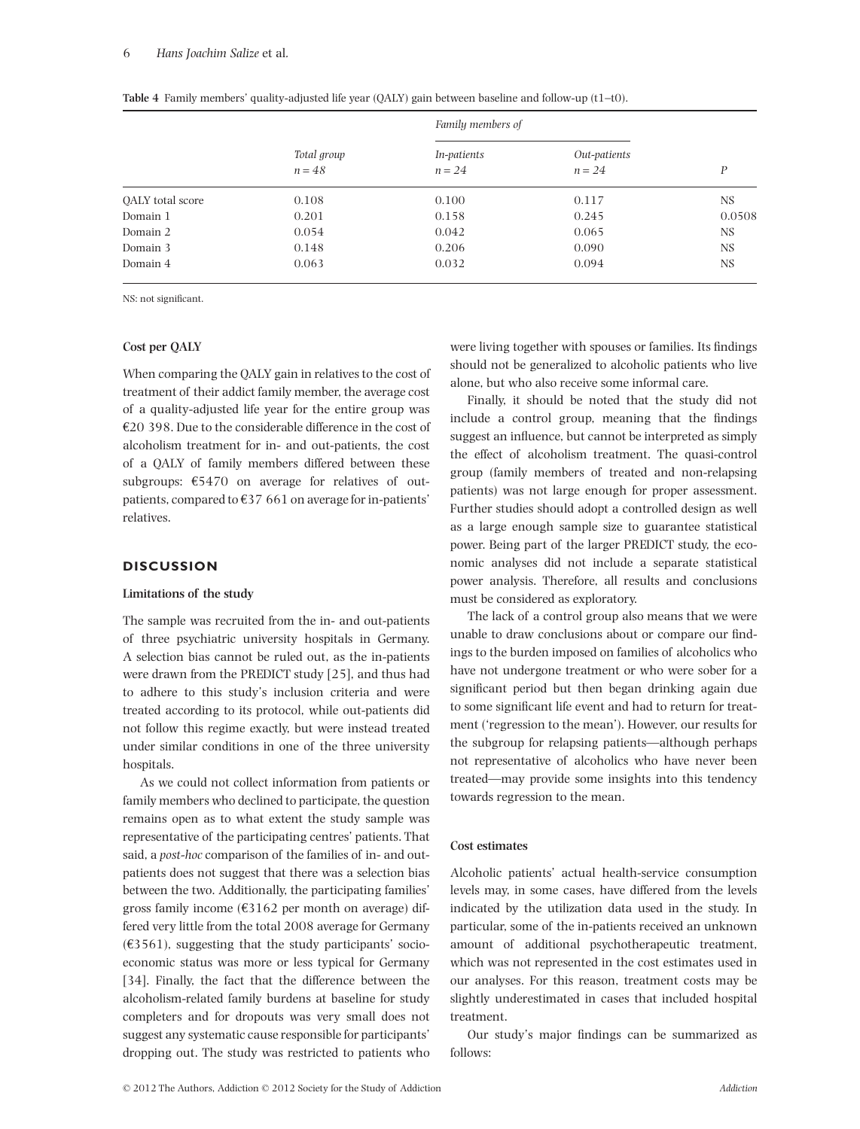#### 6 *Hans Joachim Salize* et al*.*

|                  |                         | Family members of       |                          |        |
|------------------|-------------------------|-------------------------|--------------------------|--------|
|                  | Total group<br>$n = 48$ | In-patients<br>$n = 24$ | Out-patients<br>$n = 24$ | P      |
| OALY total score | 0.108                   | 0.100                   | 0.117                    | NS.    |
| Domain 1         | 0.201                   | 0.158                   | 0.245                    | 0.0508 |
| Domain 2         | 0.054                   | 0.042                   | 0.065                    | NS     |
| Domain 3         | 0.148                   | 0.206                   | 0.090                    | NS     |
| Domain 4         | 0.063                   | 0.032                   | 0.094                    | NS.    |

**Table 4** Family members' quality-adjusted life year (QALY) gain between baseline and follow-up (t1-t0).

NS: not significant.

# **Cost per QALY**

When comparing the QALY gain in relatives to the cost of treatment of their addict family member, the average cost of a quality-adjusted life year for the entire group was €20 398. Due to the considerable difference in the cost of alcoholism treatment for in- and out-patients, the cost of a QALY of family members differed between these subgroups: €5470 on average for relatives of outpatients, compared to €37 661 on average for in-patients' relatives.

# **DISCUSSION**

## **Limitations of the study**

The sample was recruited from the in- and out-patients of three psychiatric university hospitals in Germany. A selection bias cannot be ruled out, as the in-patients were drawn from the PREDICT study [25], and thus had to adhere to this study's inclusion criteria and were treated according to its protocol, while out-patients did not follow this regime exactly, but were instead treated under similar conditions in one of the three university hospitals.

As we could not collect information from patients or family members who declined to participate, the question remains open as to what extent the study sample was representative of the participating centres' patients. That said, a *post-hoc* comparison of the families of in- and outpatients does not suggest that there was a selection bias between the two. Additionally, the participating families' gross family income (€3162 per month on average) differed very little from the total 2008 average for Germany  $(\text{\textsterling}3561)$ , suggesting that the study participants' socioeconomic status was more or less typical for Germany [34]. Finally, the fact that the difference between the alcoholism-related family burdens at baseline for study completers and for dropouts was very small does not suggest any systematic cause responsible for participants' dropping out. The study was restricted to patients who were living together with spouses or families. Its findings should not be generalized to alcoholic patients who live alone, but who also receive some informal care.

Finally, it should be noted that the study did not include a control group, meaning that the findings suggest an influence, but cannot be interpreted as simply the effect of alcoholism treatment. The quasi-control group (family members of treated and non-relapsing patients) was not large enough for proper assessment. Further studies should adopt a controlled design as well as a large enough sample size to guarantee statistical power. Being part of the larger PREDICT study, the economic analyses did not include a separate statistical power analysis. Therefore, all results and conclusions must be considered as exploratory.

The lack of a control group also means that we were unable to draw conclusions about or compare our findings to the burden imposed on families of alcoholics who have not undergone treatment or who were sober for a significant period but then began drinking again due to some significant life event and had to return for treatment ('regression to the mean'). However, our results for the subgroup for relapsing patients—although perhaps not representative of alcoholics who have never been treated—may provide some insights into this tendency towards regression to the mean.

## **Cost estimates**

Alcoholic patients' actual health-service consumption levels may, in some cases, have differed from the levels indicated by the utilization data used in the study. In particular, some of the in-patients received an unknown amount of additional psychotherapeutic treatment, which was not represented in the cost estimates used in our analyses. For this reason, treatment costs may be slightly underestimated in cases that included hospital treatment.

Our study's major findings can be summarized as follows: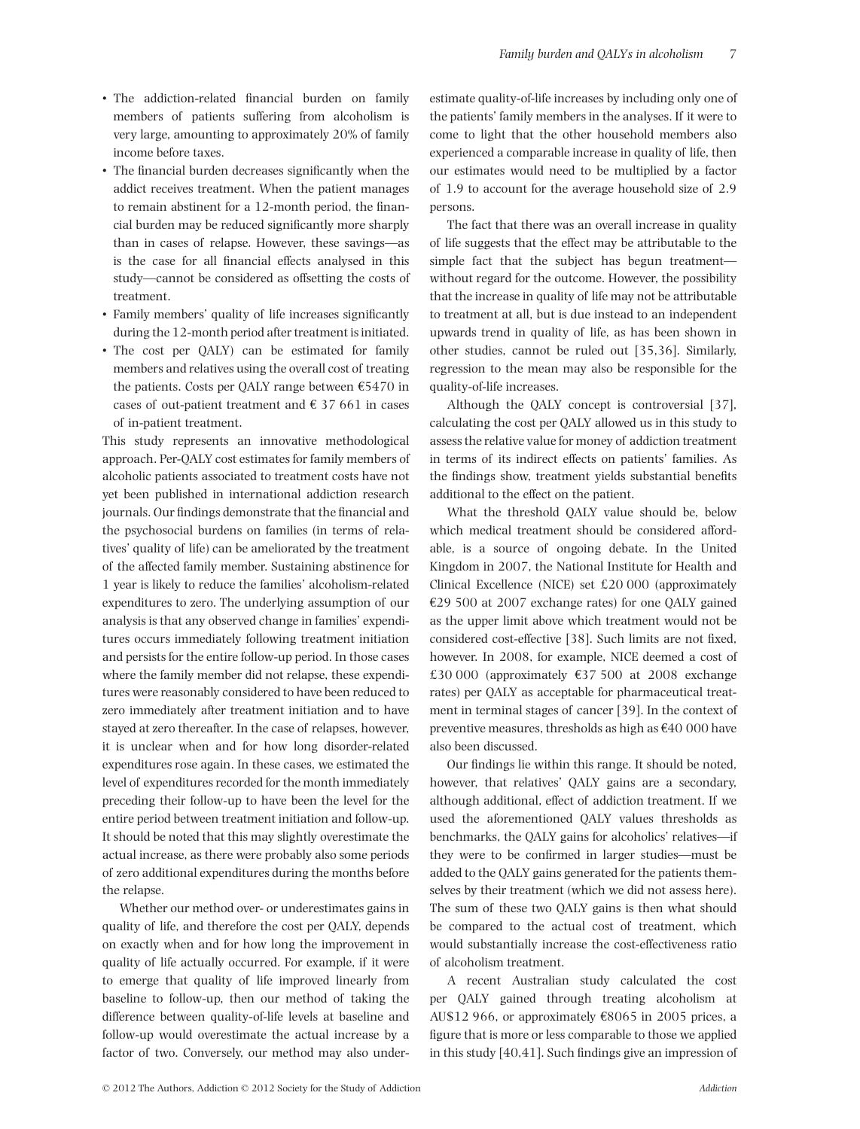- The addiction-related financial burden on family members of patients suffering from alcoholism is very large, amounting to approximately 20% of family income before taxes.
- The financial burden decreases significantly when the addict receives treatment. When the patient manages to remain abstinent for a 12-month period, the financial burden may be reduced significantly more sharply than in cases of relapse. However, these savings—as is the case for all financial effects analysed in this study—cannot be considered as offsetting the costs of treatment.
- Family members' quality of life increases significantly during the 12-month period after treatment is initiated.
- The cost per QALY) can be estimated for family members and relatives using the overall cost of treating the patients. Costs per OALY range between  $\epsilon$ 5470 in cases of out-patient treatment and  $\in$  37 661 in cases of in-patient treatment.

This study represents an innovative methodological approach. Per-QALY cost estimates for family members of alcoholic patients associated to treatment costs have not yet been published in international addiction research journals. Our findings demonstrate that the financial and the psychosocial burdens on families (in terms of relatives' quality of life) can be ameliorated by the treatment of the affected family member. Sustaining abstinence for 1 year is likely to reduce the families' alcoholism-related expenditures to zero. The underlying assumption of our analysis is that any observed change in families' expenditures occurs immediately following treatment initiation and persists for the entire follow-up period. In those cases where the family member did not relapse, these expenditures were reasonably considered to have been reduced to zero immediately after treatment initiation and to have stayed at zero thereafter. In the case of relapses, however, it is unclear when and for how long disorder-related expenditures rose again. In these cases, we estimated the level of expenditures recorded for the month immediately preceding their follow-up to have been the level for the entire period between treatment initiation and follow-up. It should be noted that this may slightly overestimate the actual increase, as there were probably also some periods of zero additional expenditures during the months before the relapse.

Whether our method over- or underestimates gains in quality of life, and therefore the cost per QALY, depends on exactly when and for how long the improvement in quality of life actually occurred. For example, if it were to emerge that quality of life improved linearly from baseline to follow-up, then our method of taking the difference between quality-of-life levels at baseline and follow-up would overestimate the actual increase by a factor of two. Conversely, our method may also underestimate quality-of-life increases by including only one of the patients' family members in the analyses. If it were to come to light that the other household members also experienced a comparable increase in quality of life, then our estimates would need to be multiplied by a factor of 1.9 to account for the average household size of 2.9 persons.

The fact that there was an overall increase in quality of life suggests that the effect may be attributable to the simple fact that the subject has begun treatment without regard for the outcome. However, the possibility that the increase in quality of life may not be attributable to treatment at all, but is due instead to an independent upwards trend in quality of life, as has been shown in other studies, cannot be ruled out [35,36]. Similarly, regression to the mean may also be responsible for the quality-of-life increases.

Although the QALY concept is controversial [37], calculating the cost per QALY allowed us in this study to assess the relative value for money of addiction treatment in terms of its indirect effects on patients' families. As the findings show, treatment yields substantial benefits additional to the effect on the patient.

What the threshold QALY value should be, below which medical treatment should be considered affordable, is a source of ongoing debate. In the United Kingdom in 2007, the National Institute for Health and Clinical Excellence (NICE) set £20 000 (approximately €29 500 at 2007 exchange rates) for one QALY gained as the upper limit above which treatment would not be considered cost-effective [38]. Such limits are not fixed, however. In 2008, for example, NICE deemed a cost of £30 000 (approximately  $£37 500$  at 2008 exchange rates) per QALY as acceptable for pharmaceutical treatment in terminal stages of cancer [39]. In the context of preventive measures, thresholds as high as  $\text{\textsterling}40000$  have also been discussed.

Our findings lie within this range. It should be noted, however, that relatives' QALY gains are a secondary, although additional, effect of addiction treatment. If we used the aforementioned QALY values thresholds as benchmarks, the QALY gains for alcoholics' relatives—if they were to be confirmed in larger studies—must be added to the QALY gains generated for the patients themselves by their treatment (which we did not assess here). The sum of these two QALY gains is then what should be compared to the actual cost of treatment, which would substantially increase the cost-effectiveness ratio of alcoholism treatment.

A recent Australian study calculated the cost per QALY gained through treating alcoholism at AU\$12 966, or approximately  $€8065$  in 2005 prices, a figure that is more or less comparable to those we applied in this study [40,41]. Such findings give an impression of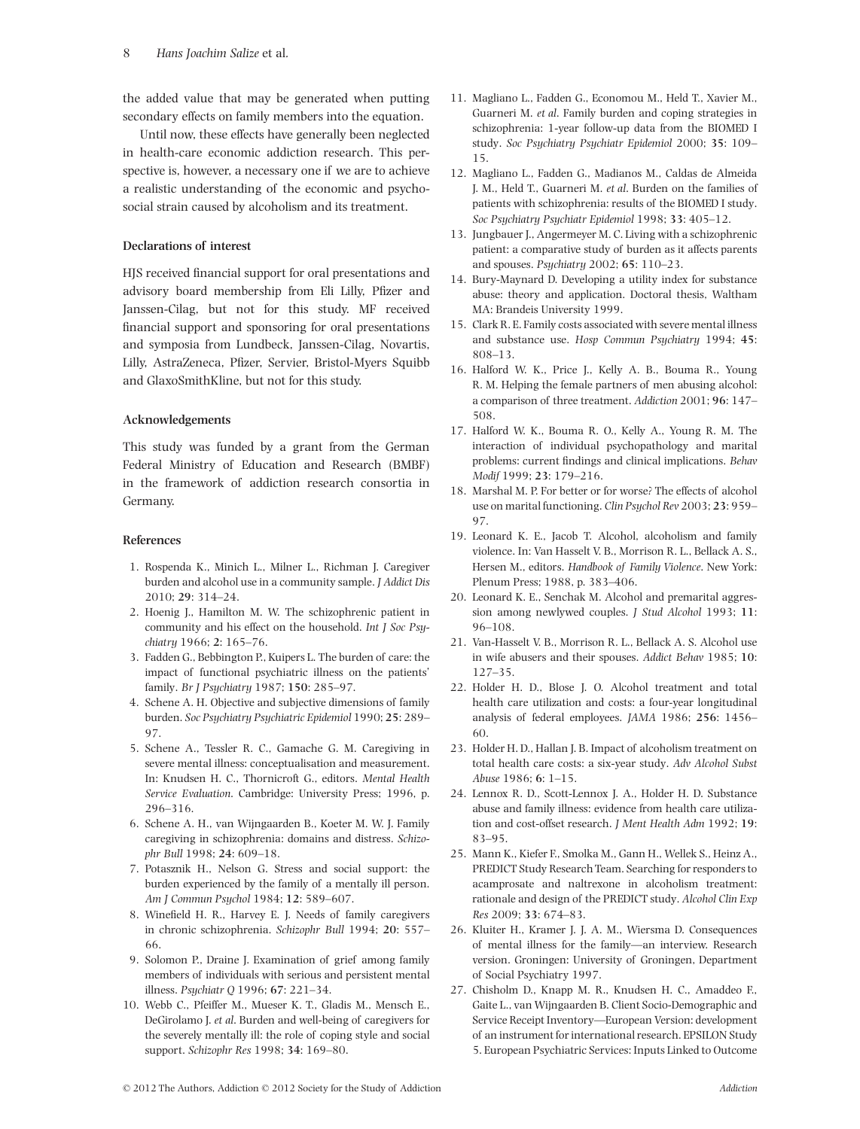the added value that may be generated when putting secondary effects on family members into the equation.

Until now, these effects have generally been neglected in health-care economic addiction research. This perspective is, however, a necessary one if we are to achieve a realistic understanding of the economic and psychosocial strain caused by alcoholism and its treatment.

# **Declarations of interest**

HJS received financial support for oral presentations and advisory board membership from Eli Lilly, Pfizer and Janssen-Cilag, but not for this study. MF received financial support and sponsoring for oral presentations and symposia from Lundbeck, Janssen-Cilag, Novartis, Lilly, AstraZeneca, Pfizer, Servier, Bristol-Myers Squibb and GlaxoSmithKline, but not for this study.

# **Acknowledgements**

This study was funded by a grant from the German Federal Ministry of Education and Research (BMBF) in the framework of addiction research consortia in Germany.

# **References**

- 1. Rospenda K., Minich L., Milner L., Richman J. Caregiver burden and alcohol use in a community sample. *J Addict Dis* 2010; **29**: 314–24.
- 2. Hoenig J., Hamilton M. W. The schizophrenic patient in community and his effect on the household. *Int J Soc Psychiatry* 1966; **2**: 165–76.
- 3. Fadden G., Bebbington P., Kuipers L. The burden of care: the impact of functional psychiatric illness on the patients' family. *Br J Psychiatry* 1987; **150**: 285–97.
- 4. Schene A. H. Objective and subjective dimensions of family burden. *Soc Psychiatry Psychiatric Epidemiol* 1990; **25**: 289– 97.
- 5. Schene A., Tessler R. C., Gamache G. M. Caregiving in severe mental illness: conceptualisation and measurement. In: Knudsen H. C., Thornicroft G., editors. *Mental Health Service Evaluation*. Cambridge: University Press; 1996, p. 296–316.
- 6. Schene A. H., van Wijngaarden B., Koeter M. W. J. Family caregiving in schizophrenia: domains and distress. *Schizophr Bull* 1998; **24**: 609–18.
- 7. Potasznik H., Nelson G. Stress and social support: the burden experienced by the family of a mentally ill person. *Am J Commun Psychol* 1984; **12**: 589–607.
- 8. Winefield H. R., Harvey E. J. Needs of family caregivers in chronic schizophrenia. *Schizophr Bull* 1994; **20**: 557– 66.
- 9. Solomon P., Draine J. Examination of grief among family members of individuals with serious and persistent mental illness. *Psychiatr Q* 1996; **67**: 221–34.
- 10. Webb C., Pfeiffer M., Mueser K. T., Gladis M., Mensch E., DeGirolamo J. *et al*. Burden and well-being of caregivers for the severely mentally ill: the role of coping style and social support. *Schizophr Res* 1998; **34**: 169–80.
- 11. Magliano L., Fadden G., Economou M., Held T., Xavier M., Guarneri M. *et al*. Family burden and coping strategies in schizophrenia: 1-year follow-up data from the BIOMED I study. *Soc Psychiatry Psychiatr Epidemiol* 2000; **35**: 109– 15.
- 12. Magliano L., Fadden G., Madianos M., Caldas de Almeida J. M., Held T., Guarneri M. *et al*. Burden on the families of patients with schizophrenia: results of the BIOMED I study. *Soc Psychiatry Psychiatr Epidemiol* 1998; **33**: 405–12.
- 13. Jungbauer J., Angermeyer M. C. Living with a schizophrenic patient: a comparative study of burden as it affects parents and spouses. *Psychiatry* 2002; **65**: 110–23.
- 14. Bury-Maynard D. Developing a utility index for substance abuse: theory and application. Doctoral thesis, Waltham MA: Brandeis University 1999.
- 15. Clark R. E. Family costs associated with severe mental illness and substance use. *Hosp Commun Psychiatry* 1994; **45**: 808–13.
- 16. Halford W. K., Price J., Kelly A. B., Bouma R., Young R. M. Helping the female partners of men abusing alcohol: a comparison of three treatment. *Addiction* 2001; **96**: 147– 508.
- 17. Halford W. K., Bouma R. O., Kelly A., Young R. M. The interaction of individual psychopathology and marital problems: current findings and clinical implications. *Behav Modif* 1999; **23**: 179–216.
- 18. Marshal M. P. For better or for worse? The effects of alcohol use on marital functioning. *Clin Psychol Rev* 2003; **23**: 959– 97.
- 19. Leonard K. E., Jacob T. Alcohol, alcoholism and family violence. In: Van Hasselt V. B., Morrison R. L., Bellack A. S., Hersen M., editors. *Handbook of Family Violence*. New York: Plenum Press; 1988, p. 383–406.
- 20. Leonard K. E., Senchak M. Alcohol and premarital aggression among newlywed couples. *J Stud Alcohol* 1993; **11**: 96–108.
- 21. Van-Hasselt V. B., Morrison R. L., Bellack A. S. Alcohol use in wife abusers and their spouses. *Addict Behav* 1985; **10**: 127–35.
- 22. Holder H. D., Blose J. O. Alcohol treatment and total health care utilization and costs: a four-year longitudinal analysis of federal employees. *JAMA* 1986; **256**: 1456– 60.
- 23. Holder H. D., Hallan J. B. Impact of alcoholism treatment on total health care costs: a six-year study. *Adv Alcohol Subst Abuse* 1986; **6**: 1–15.
- 24. Lennox R. D., Scott-Lennox J. A., Holder H. D. Substance abuse and family illness: evidence from health care utilization and cost-offset research. *J Ment Health Adm* 1992; **19**: 83–95.
- 25. Mann K., Kiefer F., Smolka M., Gann H., Wellek S., Heinz A., PREDICT Study Research Team. Searching for responders to acamprosate and naltrexone in alcoholism treatment: rationale and design of the PREDICT study. *Alcohol Clin Exp Res* 2009; **33**: 674–83.
- 26. Kluiter H., Kramer J. J. A. M., Wiersma D. Consequences of mental illness for the family—an interview. Research version. Groningen: University of Groningen, Department of Social Psychiatry 1997.
- 27. Chisholm D., Knapp M. R., Knudsen H. C., Amaddeo F., Gaite L., van Wijngaarden B. Client Socio-Demographic and Service Receipt Inventory—European Version: development of an instrument for international research. EPSILON Study 5. European Psychiatric Services: Inputs Linked to Outcome